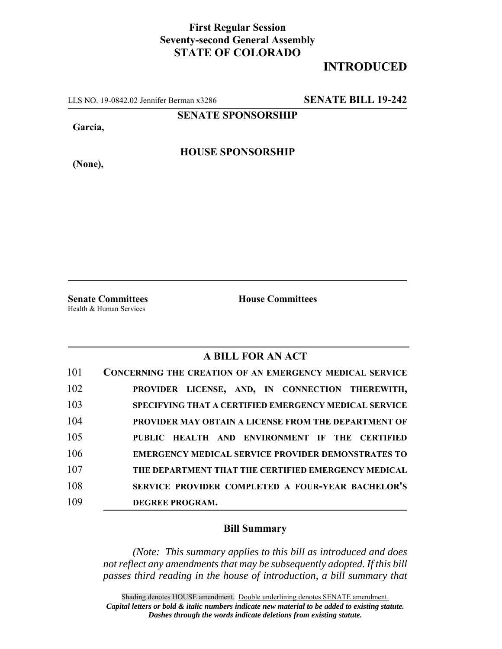## **First Regular Session Seventy-second General Assembly STATE OF COLORADO**

## **INTRODUCED**

LLS NO. 19-0842.02 Jennifer Berman x3286 **SENATE BILL 19-242**

**SENATE SPONSORSHIP**

**Garcia,**

**HOUSE SPONSORSHIP**

**(None),**

**Senate Committees House Committees** Health & Human Services

## **A BILL FOR AN ACT**

| 101 | <b>CONCERNING THE CREATION OF AN EMERGENCY MEDICAL SERVICE</b> |
|-----|----------------------------------------------------------------|
| 102 | PROVIDER LICENSE, AND, IN CONNECTION THEREWITH,                |
| 103 | <b>SPECIFYING THAT A CERTIFIED EMERGENCY MEDICAL SERVICE</b>   |
| 104 | <b>PROVIDER MAY OBTAIN A LICENSE FROM THE DEPARTMENT OF</b>    |
| 105 | PUBLIC HEALTH AND ENVIRONMENT IF THE CERTIFIED                 |
| 106 | <b>EMERGENCY MEDICAL SERVICE PROVIDER DEMONSTRATES TO</b>      |
| 107 | THE DEPARTMENT THAT THE CERTIFIED EMERGENCY MEDICAL            |
| 108 | SERVICE PROVIDER COMPLETED A FOUR-YEAR BACHELOR'S              |
| 109 | DEGREE PROGRAM.                                                |

## **Bill Summary**

*(Note: This summary applies to this bill as introduced and does not reflect any amendments that may be subsequently adopted. If this bill passes third reading in the house of introduction, a bill summary that*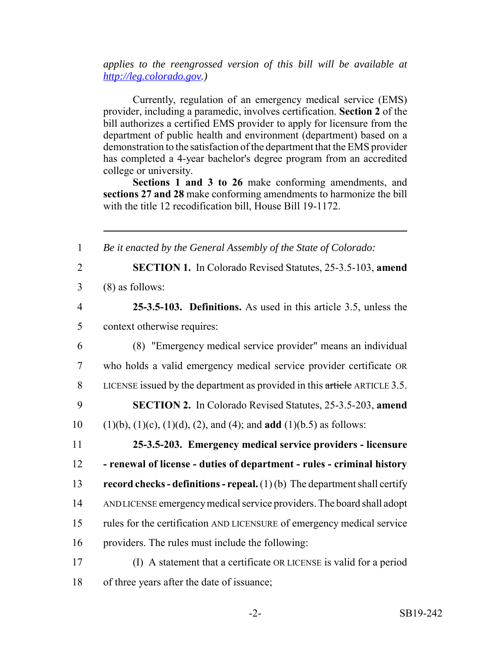*applies to the reengrossed version of this bill will be available at http://leg.colorado.gov.)*

Currently, regulation of an emergency medical service (EMS) provider, including a paramedic, involves certification. **Section 2** of the bill authorizes a certified EMS provider to apply for licensure from the department of public health and environment (department) based on a demonstration to the satisfaction of the department that the EMS provider has completed a 4-year bachelor's degree program from an accredited college or university.

**Sections 1 and 3 to 26** make conforming amendments, and **sections 27 and 28** make conforming amendments to harmonize the bill with the title 12 recodification bill, House Bill 19-1172.

| $\mathbf{1}$   | Be it enacted by the General Assembly of the State of Colorado:                            |
|----------------|--------------------------------------------------------------------------------------------|
| $\overline{2}$ | <b>SECTION 1.</b> In Colorado Revised Statutes, 25-3.5-103, amend                          |
| 3              | $(8)$ as follows:                                                                          |
| $\overline{4}$ | 25-3.5-103. Definitions. As used in this article 3.5, unless the                           |
| 5              | context otherwise requires:                                                                |
| 6              | (8) "Emergency medical service provider" means an individual                               |
| $\tau$         | who holds a valid emergency medical service provider certificate OR                        |
| 8              | LICENSE issued by the department as provided in this article ARTICLE 3.5.                  |
| 9              | <b>SECTION 2.</b> In Colorado Revised Statutes, 25-3.5-203, amend                          |
| 10             | $(1)(b)$ , $(1)(c)$ , $(1)(d)$ , $(2)$ , and $(4)$ ; and <b>add</b> $(1)(b.5)$ as follows: |
| 11             | 25-3.5-203. Emergency medical service providers - licensure                                |
| 12             | - renewal of license - duties of department - rules - criminal history                     |
| 13             | record checks - definitions - repeal. $(1)(b)$ The department shall certify                |
| 14             | AND LICENSE emergency medical service providers. The board shall adopt                     |
| 15             | rules for the certification AND LICENSURE of emergency medical service                     |
| 16             | providers. The rules must include the following:                                           |
| 17             | (I) A statement that a certificate OR LICENSE is valid for a period                        |
| 18             | of three years after the date of issuance;                                                 |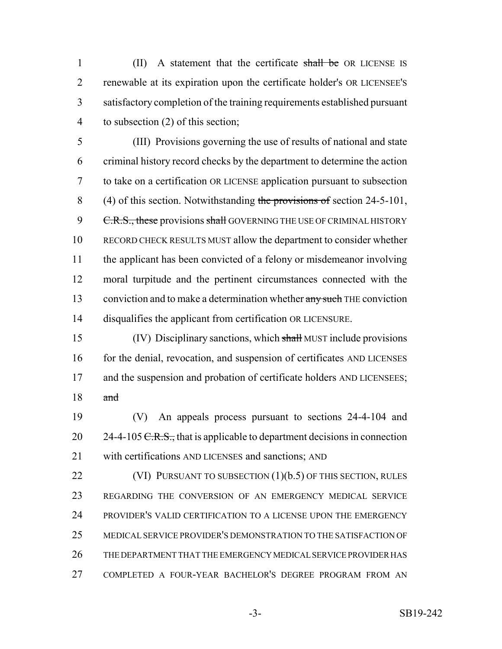1 (II) A statement that the certificate shall be OR LICENSE IS renewable at its expiration upon the certificate holder's OR LICENSEE'S satisfactory completion of the training requirements established pursuant to subsection (2) of this section;

 (III) Provisions governing the use of results of national and state criminal history record checks by the department to determine the action to take on a certification OR LICENSE application pursuant to subsection 8 (4) of this section. Notwithstanding the provisions of section 24-5-101, 9 C.R.S., these provisions shall GOVERNING THE USE OF CRIMINAL HISTORY RECORD CHECK RESULTS MUST allow the department to consider whether the applicant has been convicted of a felony or misdemeanor involving moral turpitude and the pertinent circumstances connected with the 13 conviction and to make a determination whether any such THE conviction disqualifies the applicant from certification OR LICENSURE.

 (IV) Disciplinary sanctions, which shall MUST include provisions 16 for the denial, revocation, and suspension of certificates AND LICENSES 17 and the suspension and probation of certificate holders AND LICENSEES; and

 (V) An appeals process pursuant to sections 24-4-104 and 20  $24-4-105 \text{ C.R.S.}$ , that is applicable to department decisions in connection with certifications AND LICENSES and sanctions; AND

22 (VI) PURSUANT TO SUBSECTION (1)(b.5) OF THIS SECTION, RULES REGARDING THE CONVERSION OF AN EMERGENCY MEDICAL SERVICE PROVIDER'S VALID CERTIFICATION TO A LICENSE UPON THE EMERGENCY MEDICAL SERVICE PROVIDER'S DEMONSTRATION TO THE SATISFACTION OF THE DEPARTMENT THAT THE EMERGENCY MEDICAL SERVICE PROVIDER HAS COMPLETED A FOUR-YEAR BACHELOR'S DEGREE PROGRAM FROM AN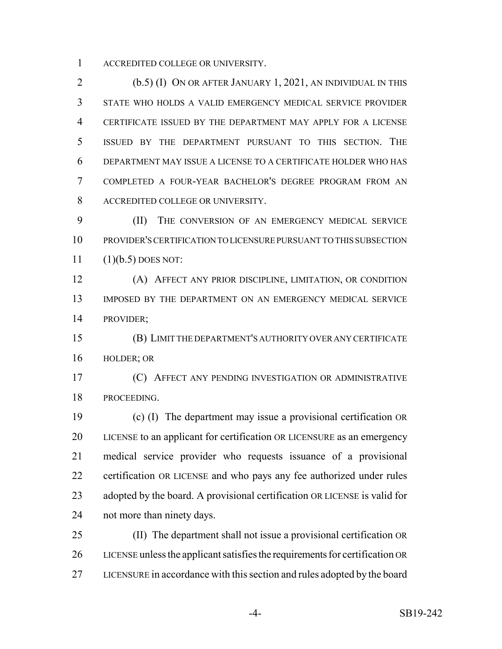ACCREDITED COLLEGE OR UNIVERSITY.

 (b.5) (I) ON OR AFTER JANUARY 1, 2021, AN INDIVIDUAL IN THIS STATE WHO HOLDS A VALID EMERGENCY MEDICAL SERVICE PROVIDER CERTIFICATE ISSUED BY THE DEPARTMENT MAY APPLY FOR A LICENSE ISSUED BY THE DEPARTMENT PURSUANT TO THIS SECTION. THE DEPARTMENT MAY ISSUE A LICENSE TO A CERTIFICATE HOLDER WHO HAS COMPLETED A FOUR-YEAR BACHELOR'S DEGREE PROGRAM FROM AN ACCREDITED COLLEGE OR UNIVERSITY.

 (II) THE CONVERSION OF AN EMERGENCY MEDICAL SERVICE PROVIDER'S CERTIFICATION TO LICENSURE PURSUANT TO THIS SUBSECTION (1)(b.5) DOES NOT:

 (A) AFFECT ANY PRIOR DISCIPLINE, LIMITATION, OR CONDITION IMPOSED BY THE DEPARTMENT ON AN EMERGENCY MEDICAL SERVICE PROVIDER;

 (B) LIMIT THE DEPARTMENT'S AUTHORITY OVER ANY CERTIFICATE HOLDER; OR

 (C) AFFECT ANY PENDING INVESTIGATION OR ADMINISTRATIVE PROCEEDING.

 (c) (I) The department may issue a provisional certification OR LICENSE to an applicant for certification OR LICENSURE as an emergency medical service provider who requests issuance of a provisional certification OR LICENSE and who pays any fee authorized under rules adopted by the board. A provisional certification OR LICENSE is valid for not more than ninety days.

 (II) The department shall not issue a provisional certification OR LICENSE unless the applicant satisfies the requirements for certification OR LICENSURE in accordance with this section and rules adopted by the board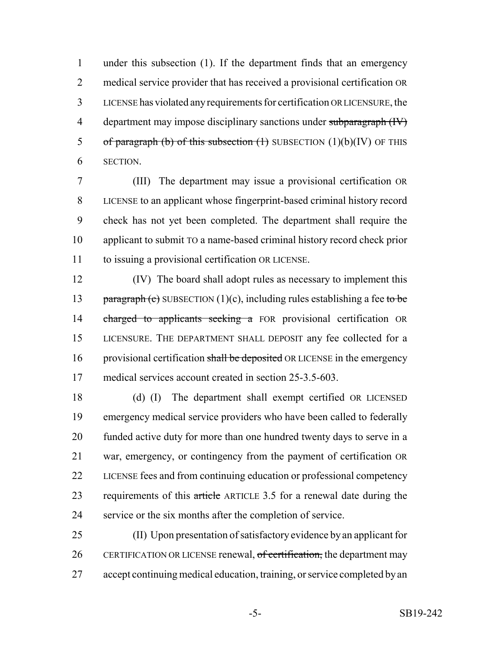under this subsection (1). If the department finds that an emergency medical service provider that has received a provisional certification OR LICENSE has violated any requirements for certification OR LICENSURE, the 4 department may impose disciplinary sanctions under subparagraph (IV) 5 of paragraph (b) of this subsection  $(1)$  SUBSECTION  $(1)(b)(IV)$  OF THIS SECTION.

 (III) The department may issue a provisional certification OR LICENSE to an applicant whose fingerprint-based criminal history record check has not yet been completed. The department shall require the applicant to submit TO a name-based criminal history record check prior to issuing a provisional certification OR LICENSE.

 (IV) The board shall adopt rules as necessary to implement this 13 paragraph (c) SUBSECTION (1)(c), including rules establishing a fee to be 14 charged to applicants seeking a FOR provisional certification OR LICENSURE. THE DEPARTMENT SHALL DEPOSIT any fee collected for a 16 provisional certification shall be deposited OR LICENSE in the emergency medical services account created in section 25-3.5-603.

 (d) (I) The department shall exempt certified OR LICENSED emergency medical service providers who have been called to federally funded active duty for more than one hundred twenty days to serve in a war, emergency, or contingency from the payment of certification OR LICENSE fees and from continuing education or professional competency 23 requirements of this article ARTICLE 3.5 for a renewal date during the service or the six months after the completion of service.

 (II) Upon presentation of satisfactory evidence by an applicant for 26 CERTIFICATION OR LICENSE renewal, of certification, the department may accept continuing medical education, training, or service completed by an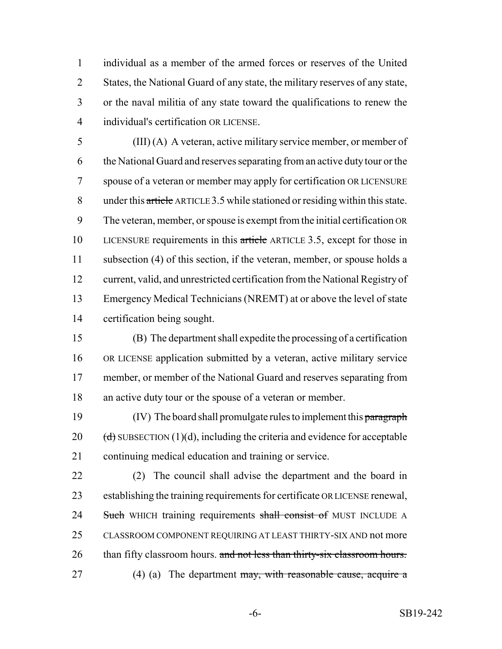individual as a member of the armed forces or reserves of the United States, the National Guard of any state, the military reserves of any state, or the naval militia of any state toward the qualifications to renew the individual's certification OR LICENSE.

 (III) (A) A veteran, active military service member, or member of the National Guard and reserves separating from an active duty tour or the spouse of a veteran or member may apply for certification OR LICENSURE under this article ARTICLE 3.5 while stationed or residing within this state. The veteran, member, or spouse is exempt from the initial certification OR 10 LICENSURE requirements in this article ARTICLE 3.5, except for those in subsection (4) of this section, if the veteran, member, or spouse holds a current, valid, and unrestricted certification from the National Registry of Emergency Medical Technicians (NREMT) at or above the level of state certification being sought.

 (B) The department shall expedite the processing of a certification OR LICENSE application submitted by a veteran, active military service member, or member of the National Guard and reserves separating from an active duty tour or the spouse of a veteran or member.

19 (IV) The board shall promulgate rules to implement this paragraph 20  $(d)$  SUBSECTION (1)(d), including the criteria and evidence for acceptable continuing medical education and training or service.

 (2) The council shall advise the department and the board in establishing the training requirements for certificate OR LICENSE renewal, 24 Such WHICH training requirements shall consist of MUST INCLUDE A CLASSROOM COMPONENT REQUIRING AT LEAST THIRTY-SIX AND not more 26 than fifty classroom hours. and not less than thirty-six classroom hours. 27 (4) (a) The department may, with reasonable cause, acquire a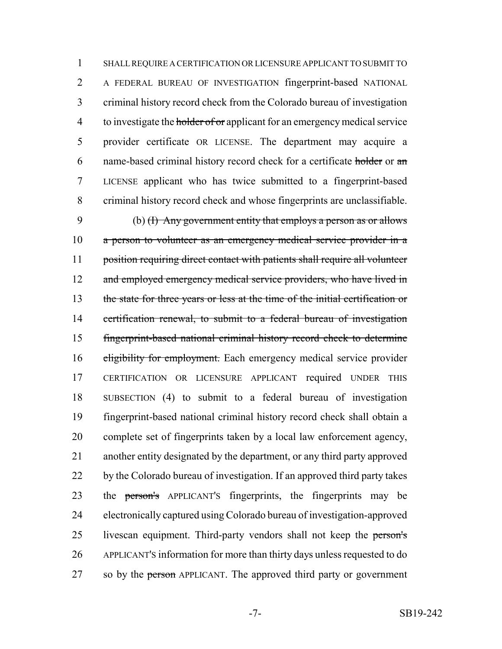SHALL REQUIRE A CERTIFICATION OR LICENSURE APPLICANT TO SUBMIT TO A FEDERAL BUREAU OF INVESTIGATION fingerprint-based NATIONAL criminal history record check from the Colorado bureau of investigation 4 to investigate the holder of or applicant for an emergency medical service provider certificate OR LICENSE. The department may acquire a name-based criminal history record check for a certificate holder or an LICENSE applicant who has twice submitted to a fingerprint-based criminal history record check and whose fingerprints are unclassifiable.

 (b) (I) Any government entity that employs a person as or allows a person to volunteer as an emergency medical service provider in a 11 position requiring direct contact with patients shall require all volunteer 12 and employed emergency medical service providers, who have lived in the state for three years or less at the time of the initial certification or 14 certification renewal, to submit to a federal bureau of investigation fingerprint-based national criminal history record check to determine 16 eligibility for employment. Each emergency medical service provider CERTIFICATION OR LICENSURE APPLICANT required UNDER THIS SUBSECTION (4) to submit to a federal bureau of investigation fingerprint-based national criminal history record check shall obtain a complete set of fingerprints taken by a local law enforcement agency, another entity designated by the department, or any third party approved 22 by the Colorado bureau of investigation. If an approved third party takes 23 the person's APPLICANT's fingerprints, the fingerprints may be electronically captured using Colorado bureau of investigation-approved 25 livescan equipment. Third-party vendors shall not keep the person's APPLICANT'S information for more than thirty days unless requested to do 27 so by the person APPLICANT. The approved third party or government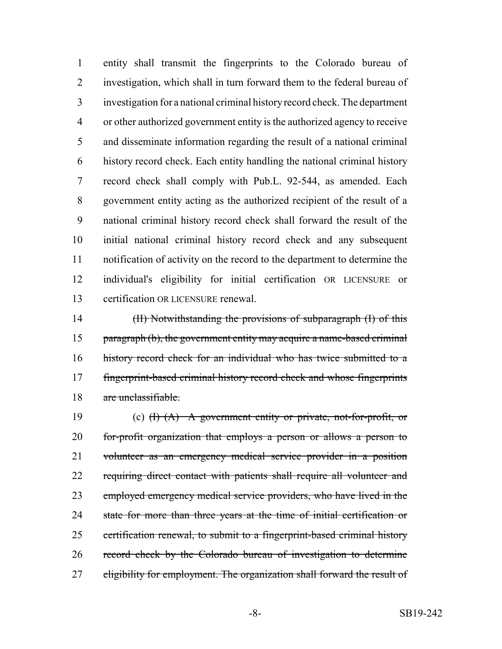entity shall transmit the fingerprints to the Colorado bureau of investigation, which shall in turn forward them to the federal bureau of investigation for a national criminal history record check. The department or other authorized government entity is the authorized agency to receive and disseminate information regarding the result of a national criminal history record check. Each entity handling the national criminal history record check shall comply with Pub.L. 92-544, as amended. Each government entity acting as the authorized recipient of the result of a national criminal history record check shall forward the result of the initial national criminal history record check and any subsequent notification of activity on the record to the department to determine the individual's eligibility for initial certification OR LICENSURE or certification OR LICENSURE renewal.

 (II) Notwithstanding the provisions of subparagraph (I) of this paragraph (b), the government entity may acquire a name-based criminal history record check for an individual who has twice submitted to a fingerprint-based criminal history record check and whose fingerprints are unclassifiable.

19 (c)  $(H)$   $(A)$  A government entity or private, not-for-profit, or for-profit organization that employs a person or allows a person to 21 volunteer as an emergency medical service provider in a position 22 requiring direct contact with patients shall require all volunteer and employed emergency medical service providers, who have lived in the 24 state for more than three years at the time of initial certification or 25 certification renewal, to submit to a fingerprint-based criminal history record check by the Colorado bureau of investigation to determine 27 eligibility for employment. The organization shall forward the result of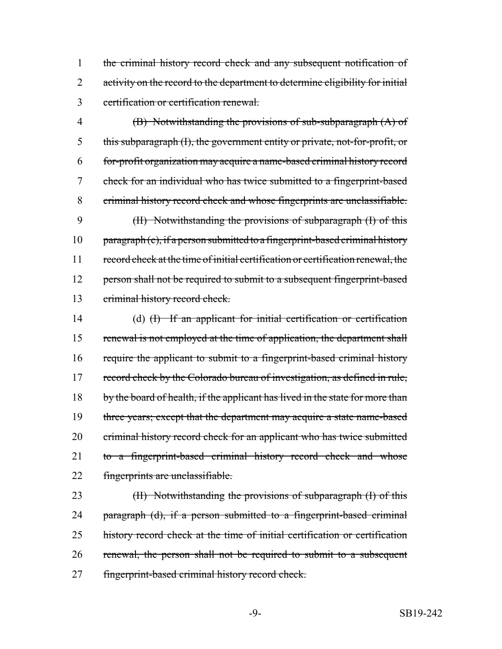1 the criminal history record check and any subsequent notification of 2 activity on the record to the department to determine eligibility for initial 3 certification or certification renewal.

 (B) Notwithstanding the provisions of sub-subparagraph (A) of this subparagraph (I), the government entity or private, not-for-profit, or for-profit organization may acquire a name-based criminal history record check for an individual who has twice submitted to a fingerprint-based criminal history record check and whose fingerprints are unclassifiable. (II) Notwithstanding the provisions of subparagraph (I) of this  $part a graph (c), if a person submitted to a fingerprint-based criminal history$  record check at the time of initial certification or certification renewal, the 12 person shall not be required to submit to a subsequent fingerprint-based criminal history record check.

14 (d) (I) If an applicant for initial certification or certification 15 renewal is not employed at the time of application, the department shall 16 require the applicant to submit to a fingerprint-based criminal history 17 record check by the Colorado bureau of investigation, as defined in rule, 18 by the board of health, if the applicant has lived in the state for more than 19 three years; except that the department may acquire a state name-based 20 criminal history record check for an applicant who has twice submitted 21 to a fingerprint-based criminal history record check and whose 22 fingerprints are unclassifiable.

23 (II) Notwithstanding the provisions of subparagraph (I) of this 24 paragraph (d), if a person submitted to a fingerprint-based criminal 25 history record check at the time of initial certification or certification 26 renewal, the person shall not be required to submit to a subsequent 27 fingerprint-based criminal history record check.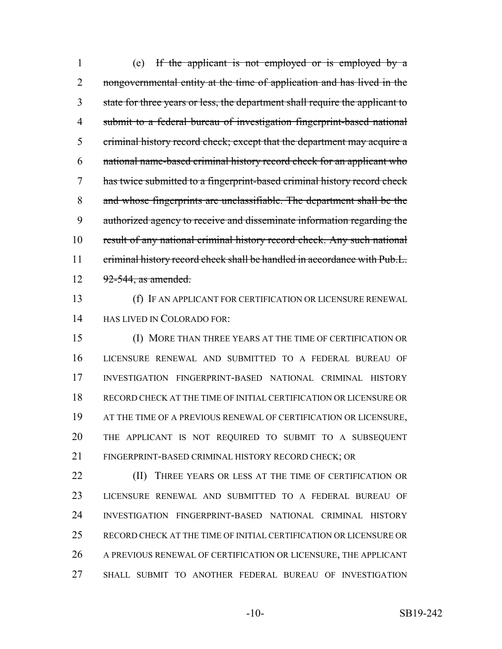(e) If the applicant is not employed or is employed by a 2 nongovernmental entity at the time of application and has lived in the state for three years or less, the department shall require the applicant to submit to a federal bureau of investigation fingerprint-based national criminal history record check; except that the department may acquire a national name-based criminal history record check for an applicant who has twice submitted to a fingerprint-based criminal history record check and whose fingerprints are unclassifiable. The department shall be the authorized agency to receive and disseminate information regarding the 10 result of any national criminal history record check. Any such national 11 criminal history record check shall be handled in accordance with Pub.L. 12 92-544, as amended.

 (f) IF AN APPLICANT FOR CERTIFICATION OR LICENSURE RENEWAL HAS LIVED IN COLORADO FOR:

 (I) MORE THAN THREE YEARS AT THE TIME OF CERTIFICATION OR LICENSURE RENEWAL AND SUBMITTED TO A FEDERAL BUREAU OF INVESTIGATION FINGERPRINT-BASED NATIONAL CRIMINAL HISTORY RECORD CHECK AT THE TIME OF INITIAL CERTIFICATION OR LICENSURE OR AT THE TIME OF A PREVIOUS RENEWAL OF CERTIFICATION OR LICENSURE, THE APPLICANT IS NOT REQUIRED TO SUBMIT TO A SUBSEQUENT FINGERPRINT-BASED CRIMINAL HISTORY RECORD CHECK; OR

**(II)** THREE YEARS OR LESS AT THE TIME OF CERTIFICATION OR LICENSURE RENEWAL AND SUBMITTED TO A FEDERAL BUREAU OF INVESTIGATION FINGERPRINT-BASED NATIONAL CRIMINAL HISTORY RECORD CHECK AT THE TIME OF INITIAL CERTIFICATION OR LICENSURE OR A PREVIOUS RENEWAL OF CERTIFICATION OR LICENSURE, THE APPLICANT SHALL SUBMIT TO ANOTHER FEDERAL BUREAU OF INVESTIGATION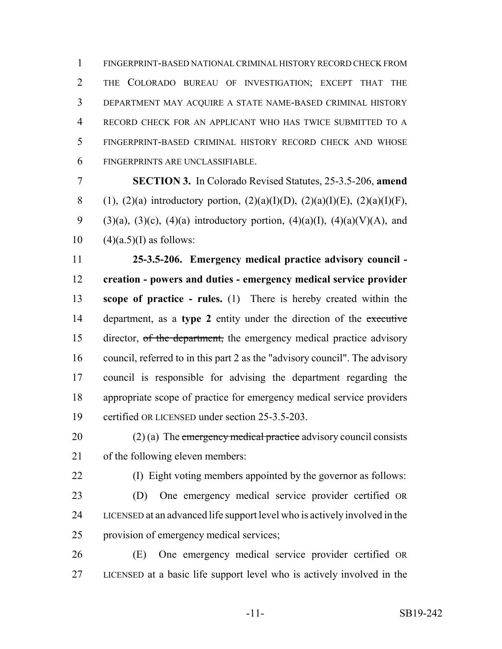FINGERPRINT-BASED NATIONAL CRIMINAL HISTORY RECORD CHECK FROM THE COLORADO BUREAU OF INVESTIGATION; EXCEPT THAT THE DEPARTMENT MAY ACQUIRE A STATE NAME-BASED CRIMINAL HISTORY RECORD CHECK FOR AN APPLICANT WHO HAS TWICE SUBMITTED TO A FINGERPRINT-BASED CRIMINAL HISTORY RECORD CHECK AND WHOSE FINGERPRINTS ARE UNCLASSIFIABLE.

 **SECTION 3.** In Colorado Revised Statutes, 25-3.5-206, **amend** 8 (1), (2)(a) introductory portion, (2)(a)(I)(D), (2)(a)(I)(E), (2)(a)(I)(F), 9 (3)(a), (3)(c), (4)(a) introductory portion, (4)(a)(I), (4)(a)(V)(A), and 10  $(4)(a.5)(I)$  as follows:

 **25-3.5-206. Emergency medical practice advisory council - creation - powers and duties - emergency medical service provider scope of practice - rules.** (1) There is hereby created within the department, as a **type 2** entity under the direction of the executive 15 director, of the department, the emergency medical practice advisory council, referred to in this part 2 as the "advisory council". The advisory council is responsible for advising the department regarding the appropriate scope of practice for emergency medical service providers certified OR LICENSED under section 25-3.5-203.

20 (2) (a) The emergency medical practice advisory council consists of the following eleven members:

(I) Eight voting members appointed by the governor as follows:

 (D) One emergency medical service provider certified OR LICENSED at an advanced life support level who is actively involved in the provision of emergency medical services;

 (E) One emergency medical service provider certified OR LICENSED at a basic life support level who is actively involved in the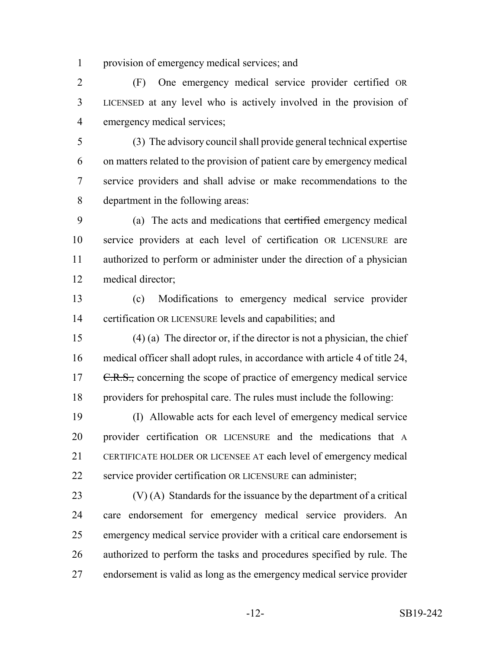provision of emergency medical services; and

 (F) One emergency medical service provider certified OR LICENSED at any level who is actively involved in the provision of emergency medical services;

 (3) The advisory council shall provide general technical expertise on matters related to the provision of patient care by emergency medical service providers and shall advise or make recommendations to the department in the following areas:

 (a) The acts and medications that certified emergency medical service providers at each level of certification OR LICENSURE are authorized to perform or administer under the direction of a physician medical director;

 (c) Modifications to emergency medical service provider certification OR LICENSURE levels and capabilities; and

 (4) (a) The director or, if the director is not a physician, the chief medical officer shall adopt rules, in accordance with article 4 of title 24, 17 C.R.S., concerning the scope of practice of emergency medical service providers for prehospital care. The rules must include the following:

 (I) Allowable acts for each level of emergency medical service provider certification OR LICENSURE and the medications that A CERTIFICATE HOLDER OR LICENSEE AT each level of emergency medical service provider certification OR LICENSURE can administer;

 (V) (A) Standards for the issuance by the department of a critical care endorsement for emergency medical service providers. An emergency medical service provider with a critical care endorsement is authorized to perform the tasks and procedures specified by rule. The endorsement is valid as long as the emergency medical service provider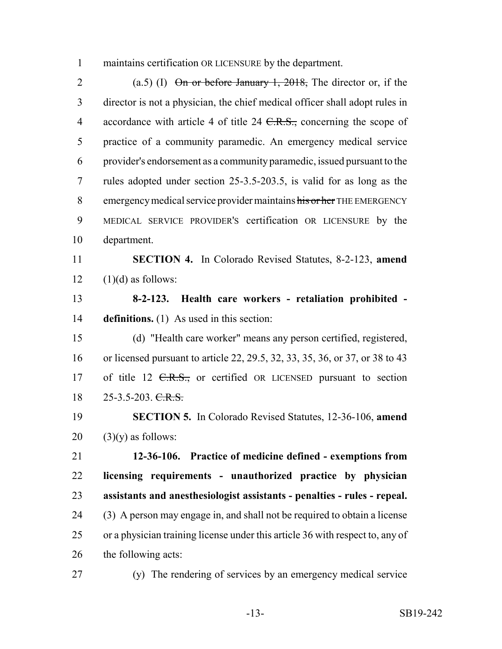maintains certification OR LICENSURE by the department.

2 (a.5) (I)  $\Theta$  in or before January 1, 2018, The director or, if the director is not a physician, the chief medical officer shall adopt rules in 4 accordance with article 4 of title 24 <del>C.R.S.,</del> concerning the scope of practice of a community paramedic. An emergency medical service provider's endorsement as a community paramedic, issued pursuant to the rules adopted under section 25-3.5-203.5, is valid for as long as the 8 emergency medical service provider maintains his or her THE EMERGENCY MEDICAL SERVICE PROVIDER'S certification OR LICENSURE by the department.

 **SECTION 4.** In Colorado Revised Statutes, 8-2-123, **amend**  $12 \quad (1)(d)$  as follows:

 **8-2-123. Health care workers - retaliation prohibited - definitions.** (1) As used in this section:

 (d) "Health care worker" means any person certified, registered, or licensed pursuant to article 22, 29.5, 32, 33, 35, 36, or 37, or 38 to 43 17 of title 12 <del>C.R.S.,</del> or certified OR LICENSED pursuant to section 18 25-3.5-203. C.R.S.

 **SECTION 5.** In Colorado Revised Statutes, 12-36-106, **amend** (3)(y) as follows:

 **12-36-106. Practice of medicine defined - exemptions from licensing requirements - unauthorized practice by physician assistants and anesthesiologist assistants - penalties - rules - repeal.** (3) A person may engage in, and shall not be required to obtain a license or a physician training license under this article 36 with respect to, any of the following acts:

(y) The rendering of services by an emergency medical service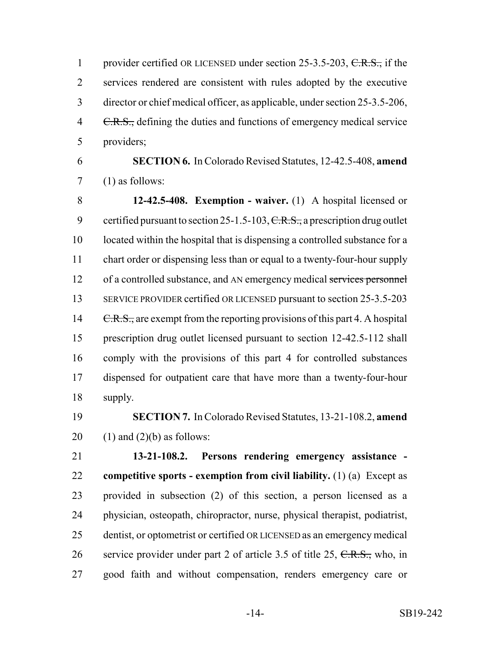1 provider certified OR LICENSED under section 25-3.5-203, C.R.S., if the services rendered are consistent with rules adopted by the executive director or chief medical officer, as applicable, under section 25-3.5-206, 4 C.R.S., defining the duties and functions of emergency medical service providers;

 **SECTION 6.** In Colorado Revised Statutes, 12-42.5-408, **amend**  $7 \quad (1)$  as follows:

 **12-42.5-408. Exemption - waiver.** (1) A hospital licensed or 9 certified pursuant to section 25-1.5-103,  $C.R.S.,$  a prescription drug outlet located within the hospital that is dispensing a controlled substance for a chart order or dispensing less than or equal to a twenty-four-hour supply 12 of a controlled substance, and AN emergency medical services personnel 13 SERVICE PROVIDER certified OR LICENSED pursuant to section 25-3.5-203 14 C.R.S., are exempt from the reporting provisions of this part 4. A hospital prescription drug outlet licensed pursuant to section 12-42.5-112 shall comply with the provisions of this part 4 for controlled substances dispensed for outpatient care that have more than a twenty-four-hour supply.

 **SECTION 7.** In Colorado Revised Statutes, 13-21-108.2, **amend** 20  $(1)$  and  $(2)(b)$  as follows:

 **13-21-108.2. Persons rendering emergency assistance - competitive sports - exemption from civil liability.** (1) (a) Except as provided in subsection (2) of this section, a person licensed as a physician, osteopath, chiropractor, nurse, physical therapist, podiatrist, dentist, or optometrist or certified OR LICENSED as an emergency medical 26 service provider under part 2 of article 3.5 of title 25,  $C.R.S.,$  who, in good faith and without compensation, renders emergency care or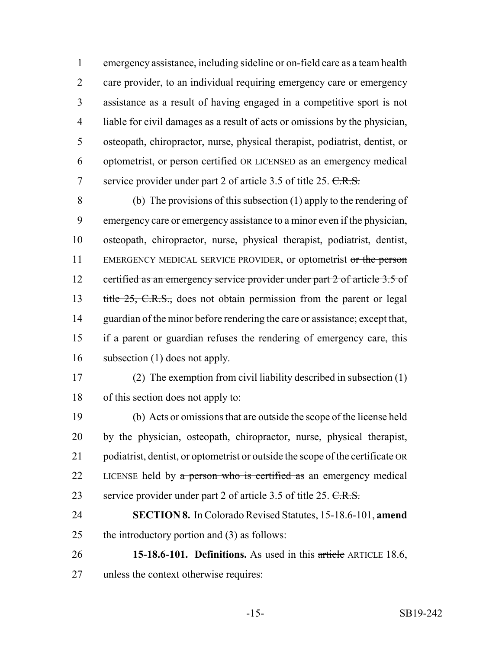emergency assistance, including sideline or on-field care as a team health care provider, to an individual requiring emergency care or emergency assistance as a result of having engaged in a competitive sport is not liable for civil damages as a result of acts or omissions by the physician, osteopath, chiropractor, nurse, physical therapist, podiatrist, dentist, or optometrist, or person certified OR LICENSED as an emergency medical 7 service provider under part 2 of article 3.5 of title 25. C.R.S.

 (b) The provisions of this subsection (1) apply to the rendering of emergency care or emergency assistance to a minor even if the physician, osteopath, chiropractor, nurse, physical therapist, podiatrist, dentist, 11 EMERGENCY MEDICAL SERVICE PROVIDER, or optometrist or the person 12 certified as an emergency service provider under part 2 of article 3.5 of 13 title 25, C.R.S., does not obtain permission from the parent or legal guardian of the minor before rendering the care or assistance; except that, if a parent or guardian refuses the rendering of emergency care, this subsection (1) does not apply.

 (2) The exemption from civil liability described in subsection (1) of this section does not apply to:

 (b) Acts or omissions that are outside the scope of the license held by the physician, osteopath, chiropractor, nurse, physical therapist, podiatrist, dentist, or optometrist or outside the scope of the certificate OR 22 LICENSE held by a person who is certified as an emergency medical 23 service provider under part 2 of article 3.5 of title 25. C.R.S.

 **SECTION 8.** In Colorado Revised Statutes, 15-18.6-101, **amend** the introductory portion and (3) as follows:

 **15-18.6-101. Definitions.** As used in this article ARTICLE 18.6, unless the context otherwise requires: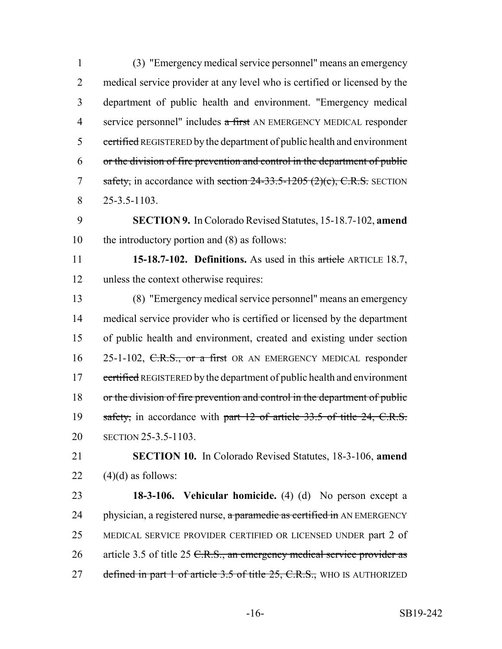(3) "Emergency medical service personnel" means an emergency medical service provider at any level who is certified or licensed by the department of public health and environment. "Emergency medical 4 service personnel" includes a first AN EMERGENCY MEDICAL responder 5 certified REGISTERED by the department of public health and environment or the division of fire prevention and control in the department of public 7 safety, in accordance with section  $24-33.5-1205$  (2)(c), C.R.S. SECTION 25-3.5-1103.

 **SECTION 9.** In Colorado Revised Statutes, 15-18.7-102, **amend** the introductory portion and (8) as follows:

 **15-18.7-102. Definitions.** As used in this article ARTICLE 18.7, unless the context otherwise requires:

 (8) "Emergency medical service personnel" means an emergency medical service provider who is certified or licensed by the department of public health and environment, created and existing under section 16 25-1-102, C.R.S., or a first OR AN EMERGENCY MEDICAL responder 17 certified REGISTERED by the department of public health and environment or the division of fire prevention and control in the department of public 19 safety, in accordance with part 12 of article 33.5 of title 24, C.R.S. SECTION 25-3.5-1103.

 **SECTION 10.** In Colorado Revised Statutes, 18-3-106, **amend** 22  $(4)(d)$  as follows:

 **18-3-106. Vehicular homicide.** (4) (d) No person except a 24 physician, a registered nurse,  $\alpha$  paramedic as certified in AN EMERGENCY MEDICAL SERVICE PROVIDER CERTIFIED OR LICENSED UNDER part 2 of 26 article 3.5 of title 25 C.R.S., an emergency medical service provider as 27 defined in part 1 of article 3.5 of title 25, C.R.S., WHO IS AUTHORIZED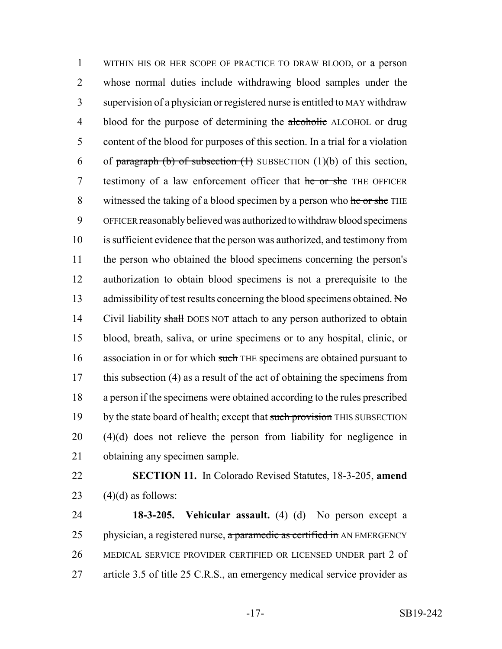1 WITHIN HIS OR HER SCOPE OF PRACTICE TO DRAW BLOOD, or a person 2 whose normal duties include withdrawing blood samples under the 3 supervision of a physician or registered nurse is entitled to MAY withdraw 4 blood for the purpose of determining the alcoholic ALCOHOL or drug 5 content of the blood for purposes of this section. In a trial for a violation 6 of paragraph (b) of subsection  $(1)$  SUBSECTION  $(1)(b)$  of this section, 7 testimony of a law enforcement officer that he or she THE OFFICER 8 witnessed the taking of a blood specimen by a person who he or she THE 9 OFFICER reasonably believed was authorized to withdraw blood specimens 10 is sufficient evidence that the person was authorized, and testimony from 11 the person who obtained the blood specimens concerning the person's 12 authorization to obtain blood specimens is not a prerequisite to the 13 admissibility of test results concerning the blood specimens obtained. No 14 Civil liability shall DOES NOT attach to any person authorized to obtain 15 blood, breath, saliva, or urine specimens or to any hospital, clinic, or 16 association in or for which such THE specimens are obtained pursuant to 17 this subsection (4) as a result of the act of obtaining the specimens from 18 a person if the specimens were obtained according to the rules prescribed 19 by the state board of health; except that such provision THIS SUBSECTION 20 (4)(d) does not relieve the person from liability for negligence in 21 obtaining any specimen sample.

22 **SECTION 11.** In Colorado Revised Statutes, 18-3-205, **amend** 23  $(4)(d)$  as follows:

24 **18-3-205. Vehicular assault.** (4) (d) No person except a 25 physician, a registered nurse, a paramedic as certified in AN EMERGENCY 26 MEDICAL SERVICE PROVIDER CERTIFIED OR LICENSED UNDER part 2 of 27 article 3.5 of title 25  $C.R.S.,$  an emergency medical service provider as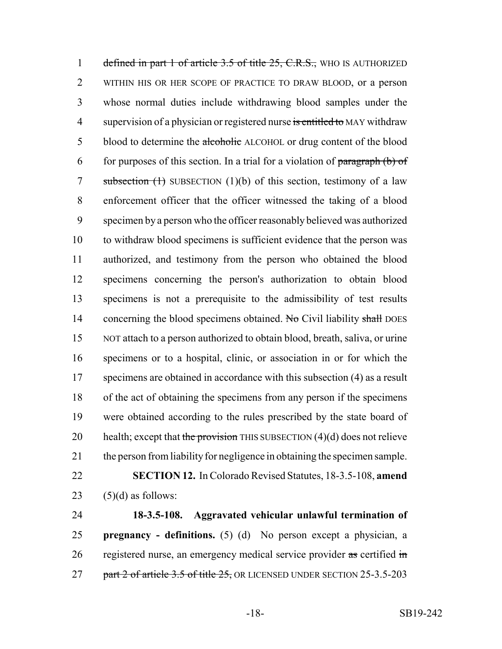1 defined in part 1 of article 3.5 of title 25, C.R.S., WHO IS AUTHORIZED WITHIN HIS OR HER SCOPE OF PRACTICE TO DRAW BLOOD, or a person whose normal duties include withdrawing blood samples under the 4 supervision of a physician or registered nurse is entitled to MAY withdraw 5 blood to determine the alcoholic ALCOHOL or drug content of the blood 6 for purposes of this section. In a trial for a violation of  $\frac{\partial}{\partial x}$  (b) of 7 subsection  $(1)$  SUBSECTION  $(1)(b)$  of this section, testimony of a law enforcement officer that the officer witnessed the taking of a blood specimen by a person who the officer reasonably believed was authorized to withdraw blood specimens is sufficient evidence that the person was authorized, and testimony from the person who obtained the blood specimens concerning the person's authorization to obtain blood specimens is not a prerequisite to the admissibility of test results 14 concerning the blood specimens obtained. No Civil liability shall DOES NOT attach to a person authorized to obtain blood, breath, saliva, or urine specimens or to a hospital, clinic, or association in or for which the 17 specimens are obtained in accordance with this subsection (4) as a result of the act of obtaining the specimens from any person if the specimens were obtained according to the rules prescribed by the state board of 20 health; except that the provision THIS SUBSECTION  $(4)(d)$  does not relieve the person from liability for negligence in obtaining the specimen sample. **SECTION 12.** In Colorado Revised Statutes, 18-3.5-108, **amend**  $(5)(d)$  as follows:

24 **18-3.5-108. Aggravated vehicular unlawful termination of** 25 **pregnancy - definitions.** (5) (d) No person except a physician, a 26 registered nurse, an emergency medical service provider as certified in 27 part 2 of article 3.5 of title 25, OR LICENSED UNDER SECTION 25-3.5-203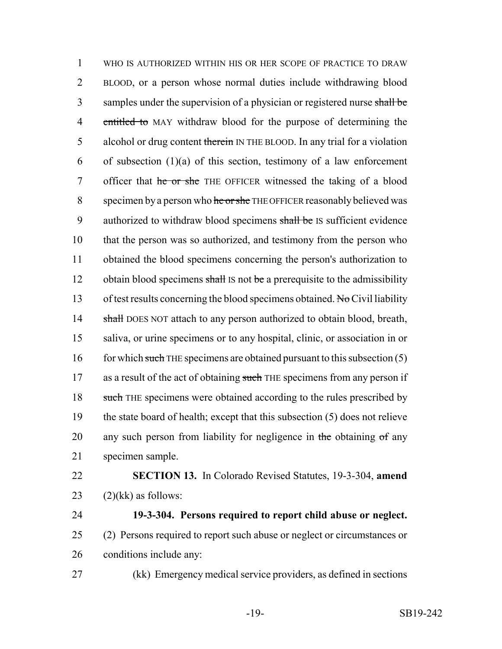1 WHO IS AUTHORIZED WITHIN HIS OR HER SCOPE OF PRACTICE TO DRAW 2 BLOOD, or a person whose normal duties include withdrawing blood 3 samples under the supervision of a physician or registered nurse shall be 4 entitled to MAY withdraw blood for the purpose of determining the 5 alcohol or drug content therein IN THE BLOOD. In any trial for a violation 6 of subsection  $(1)(a)$  of this section, testimony of a law enforcement 7 officer that he or she THE OFFICER witnessed the taking of a blood 8 specimen by a person who he or she THE OFFICER reasonably believed was 9 authorized to withdraw blood specimens shall be IS sufficient evidence 10 that the person was so authorized, and testimony from the person who 11 obtained the blood specimens concerning the person's authorization to 12 obtain blood specimens shall IS not be a prerequisite to the admissibility 13 of test results concerning the blood specimens obtained. No Civil liability 14 shall DOES NOT attach to any person authorized to obtain blood, breath, 15 saliva, or urine specimens or to any hospital, clinic, or association in or 16 for which such THE specimens are obtained pursuant to this subsection (5) 17 as a result of the act of obtaining such THE specimens from any person if 18 such THE specimens were obtained according to the rules prescribed by 19 the state board of health; except that this subsection (5) does not relieve 20 any such person from liability for negligence in the obtaining  $\sigma f$  any 21 specimen sample.

22 **SECTION 13.** In Colorado Revised Statutes, 19-3-304, **amend** 23  $(2)(kk)$  as follows:

24 **19-3-304. Persons required to report child abuse or neglect.** 25 (2) Persons required to report such abuse or neglect or circumstances or 26 conditions include any:

27 (kk) Emergency medical service providers, as defined in sections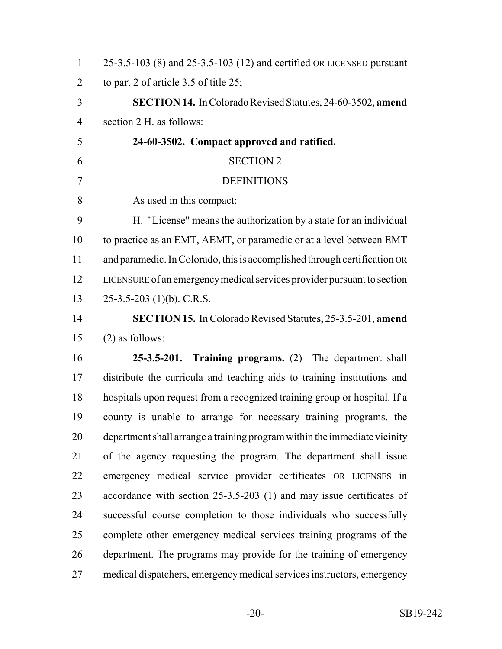| $\mathbf{1}$   | 25-3.5-103 (8) and 25-3.5-103 (12) and certified OR LICENSED pursuant     |
|----------------|---------------------------------------------------------------------------|
| $\overline{2}$ | to part 2 of article 3.5 of title 25;                                     |
| 3              | <b>SECTION 14.</b> In Colorado Revised Statutes, 24-60-3502, amend        |
| $\overline{4}$ | section 2 H. as follows:                                                  |
| 5              | 24-60-3502. Compact approved and ratified.                                |
| 6              | <b>SECTION 2</b>                                                          |
| $\overline{7}$ | <b>DEFINITIONS</b>                                                        |
| 8              | As used in this compact:                                                  |
| 9              | H. "License" means the authorization by a state for an individual         |
| 10             | to practice as an EMT, AEMT, or paramedic or at a level between EMT       |
| 11             | and paramedic. In Colorado, this is accomplished through certification OR |
| 12             | LICENSURE of an emergency medical services provider pursuant to section   |
| 13             | 25-3.5-203 (1)(b). $C.R.S.$                                               |
| 14             | <b>SECTION 15.</b> In Colorado Revised Statutes, 25-3.5-201, amend        |
| 15             | $(2)$ as follows:                                                         |
| 16             | 25-3.5-201. Training programs. (2) The department shall                   |
| 17             | distribute the curricula and teaching aids to training institutions and   |
| 18             | hospitals upon request from a recognized training group or hospital. If a |
| 19             | county is unable to arrange for necessary training programs, the          |
| 20             | department shall arrange a training program within the immediate vicinity |
| 21             | of the agency requesting the program. The department shall issue          |
| 22             | emergency medical service provider certificates OR LICENSES in            |
| 23             | accordance with section 25-3.5-203 (1) and may issue certificates of      |
| 24             | successful course completion to those individuals who successfully        |
| 25             | complete other emergency medical services training programs of the        |
| 26             | department. The programs may provide for the training of emergency        |
| 27             | medical dispatchers, emergency medical services instructors, emergency    |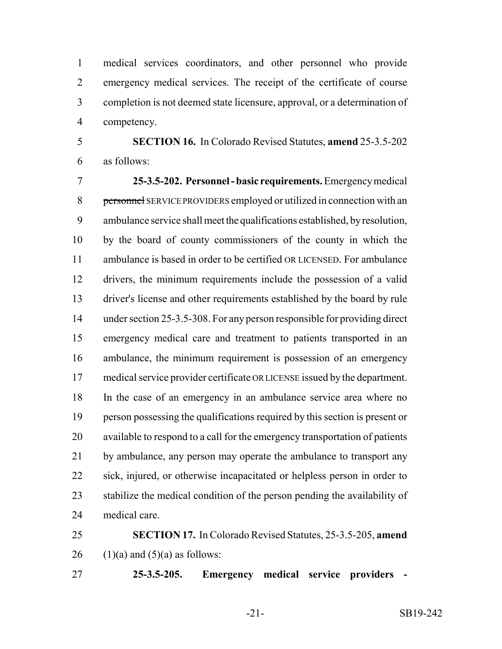medical services coordinators, and other personnel who provide emergency medical services. The receipt of the certificate of course completion is not deemed state licensure, approval, or a determination of competency.

 **SECTION 16.** In Colorado Revised Statutes, **amend** 25-3.5-202 as follows:

 **25-3.5-202. Personnel - basic requirements.** Emergency medical 8 personnel SERVICE PROVIDERS employed or utilized in connection with an ambulance service shall meet the qualifications established, by resolution, by the board of county commissioners of the county in which the ambulance is based in order to be certified OR LICENSED. For ambulance drivers, the minimum requirements include the possession of a valid driver's license and other requirements established by the board by rule under section 25-3.5-308. For any person responsible for providing direct emergency medical care and treatment to patients transported in an ambulance, the minimum requirement is possession of an emergency medical service provider certificate OR LICENSE issued by the department. In the case of an emergency in an ambulance service area where no person possessing the qualifications required by this section is present or available to respond to a call for the emergency transportation of patients 21 by ambulance, any person may operate the ambulance to transport any sick, injured, or otherwise incapacitated or helpless person in order to stabilize the medical condition of the person pending the availability of medical care.

 **SECTION 17.** In Colorado Revised Statutes, 25-3.5-205, **amend** 26 (1)(a) and  $(5)(a)$  as follows:

**25-3.5-205. Emergency medical service providers -**

-21- SB19-242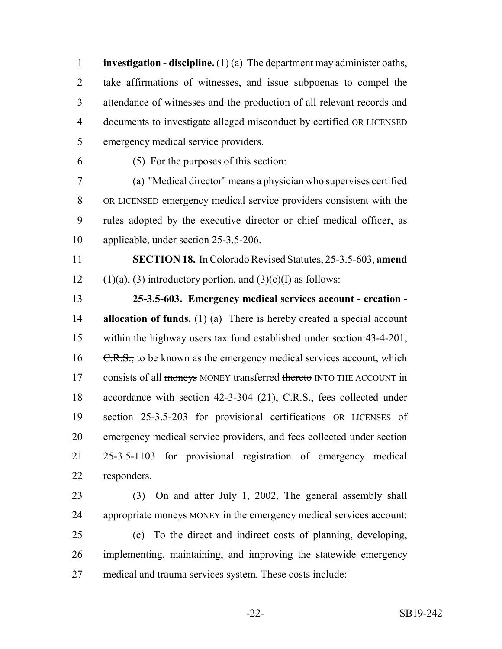**investigation - discipline.** (1) (a) The department may administer oaths, take affirmations of witnesses, and issue subpoenas to compel the attendance of witnesses and the production of all relevant records and documents to investigate alleged misconduct by certified OR LICENSED emergency medical service providers.

(5) For the purposes of this section:

 (a) "Medical director" means a physician who supervises certified OR LICENSED emergency medical service providers consistent with the 9 rules adopted by the executive director or chief medical officer, as applicable, under section 25-3.5-206.

 **SECTION 18.** In Colorado Revised Statutes, 25-3.5-603, **amend** 12 (1)(a), (3) introductory portion, and  $(3)(c)(I)$  as follows:

 **25-3.5-603. Emergency medical services account - creation - allocation of funds.** (1) (a) There is hereby created a special account within the highway users tax fund established under section 43-4-201, 16 <del>C.R.S.,</del> to be known as the emergency medical services account, which 17 consists of all moneys MONEY transferred thereto INTO THE ACCOUNT in 18 accordance with section 42-3-304 (21), C.R.S., fees collected under section 25-3.5-203 for provisional certifications OR LICENSES of emergency medical service providers, and fees collected under section 25-3.5-1103 for provisional registration of emergency medical responders.

23 (3) On and after July 1, 2002, The general assembly shall 24 appropriate moneys MONEY in the emergency medical services account:

 (c) To the direct and indirect costs of planning, developing, implementing, maintaining, and improving the statewide emergency medical and trauma services system. These costs include: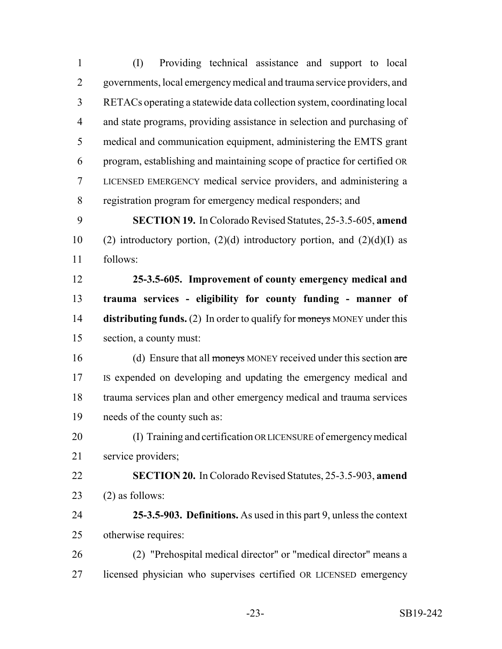(I) Providing technical assistance and support to local governments, local emergency medical and trauma service providers, and RETACs operating a statewide data collection system, coordinating local and state programs, providing assistance in selection and purchasing of medical and communication equipment, administering the EMTS grant program, establishing and maintaining scope of practice for certified OR LICENSED EMERGENCY medical service providers, and administering a registration program for emergency medical responders; and **SECTION 19.** In Colorado Revised Statutes, 25-3.5-605, **amend** 10 (2) introductory portion, (2)(d) introductory portion, and (2)(d)(I) as follows: **25-3.5-605. Improvement of county emergency medical and trauma services - eligibility for county funding - manner of distributing funds.** (2) In order to qualify for moneys MONEY under this section, a county must: 16 (d) Ensure that all moneys MONEY received under this section are IS expended on developing and updating the emergency medical and trauma services plan and other emergency medical and trauma services needs of the county such as: (I) Training and certification OR LICENSURE of emergency medical service providers; **SECTION 20.** In Colorado Revised Statutes, 25-3.5-903, **amend**  $(2)$  as follows: **25-3.5-903. Definitions.** As used in this part 9, unless the context otherwise requires: (2) "Prehospital medical director" or "medical director" means a licensed physician who supervises certified OR LICENSED emergency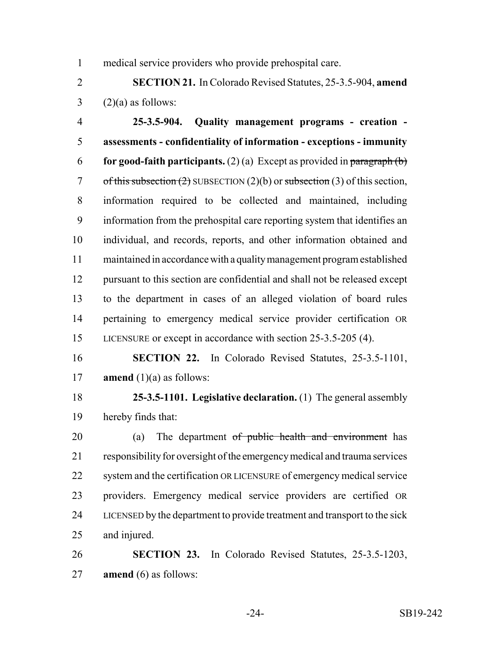medical service providers who provide prehospital care.

 **SECTION 21.** In Colorado Revised Statutes, 25-3.5-904, **amend**  $3 \qquad (2)(a)$  as follows:

 **25-3.5-904. Quality management programs - creation - assessments - confidentiality of information - exceptions - immunity for good-faith participants.** (2) (a) Except as provided in paragraph (b) 7 of this subsection  $(2)$  SUBSECTION  $(2)(b)$  or subsection  $(3)$  of this section, information required to be collected and maintained, including information from the prehospital care reporting system that identifies an individual, and records, reports, and other information obtained and maintained in accordance with a quality management program established pursuant to this section are confidential and shall not be released except to the department in cases of an alleged violation of board rules pertaining to emergency medical service provider certification OR LICENSURE or except in accordance with section 25-3.5-205 (4).

 **SECTION 22.** In Colorado Revised Statutes, 25-3.5-1101, 17 **amend**  $(1)(a)$  as follows:

 **25-3.5-1101. Legislative declaration.** (1) The general assembly hereby finds that:

20 (a) The department <del>of public health and environment</del> has responsibility for oversight of the emergency medical and trauma services system and the certification OR LICENSURE of emergency medical service providers. Emergency medical service providers are certified OR LICENSED by the department to provide treatment and transport to the sick and injured.

 **SECTION 23.** In Colorado Revised Statutes, 25-3.5-1203, **amend** (6) as follows: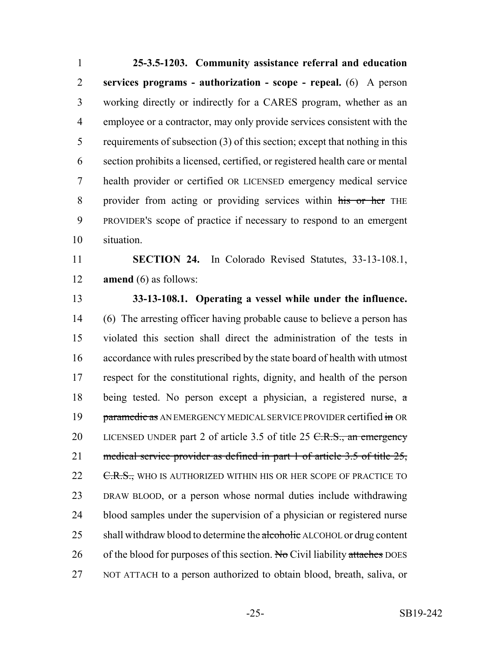**25-3.5-1203. Community assistance referral and education services programs - authorization - scope - repeal.** (6) A person working directly or indirectly for a CARES program, whether as an employee or a contractor, may only provide services consistent with the requirements of subsection (3) of this section; except that nothing in this section prohibits a licensed, certified, or registered health care or mental health provider or certified OR LICENSED emergency medical service 8 provider from acting or providing services within his or her THE PROVIDER'S scope of practice if necessary to respond to an emergent situation.

 **SECTION 24.** In Colorado Revised Statutes, 33-13-108.1, **amend** (6) as follows:

 **33-13-108.1. Operating a vessel while under the influence.** (6) The arresting officer having probable cause to believe a person has violated this section shall direct the administration of the tests in accordance with rules prescribed by the state board of health with utmost respect for the constitutional rights, dignity, and health of the person being tested. No person except a physician, a registered nurse, a 19 paramedic as AN EMERGENCY MEDICAL SERVICE PROVIDER certified in OR 20 LICENSED UNDER part 2 of article 3.5 of title 25 C.R.S., an emergency 21 medical service provider as defined in part 1 of article 3.5 of title 25, 22 <del>C.R.S.,</del> WHO IS AUTHORIZED WITHIN HIS OR HER SCOPE OF PRACTICE TO DRAW BLOOD, or a person whose normal duties include withdrawing blood samples under the supervision of a physician or registered nurse 25 shall withdraw blood to determine the alcoholic ALCOHOL or drug content 26 of the blood for purposes of this section. No Civil liability attaches DOES NOT ATTACH to a person authorized to obtain blood, breath, saliva, or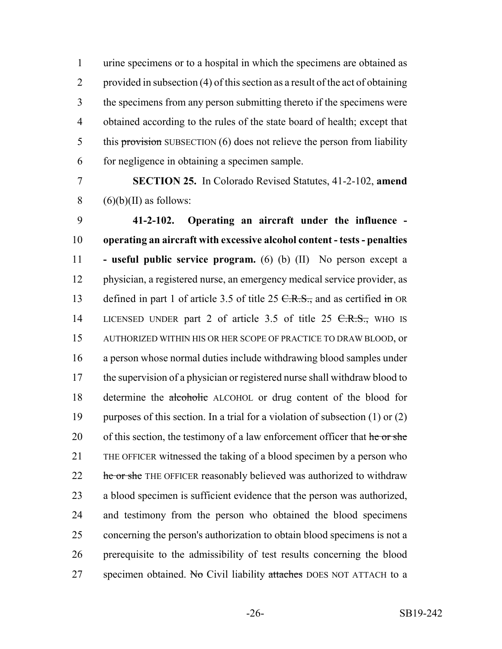urine specimens or to a hospital in which the specimens are obtained as provided in subsection (4) of this section as a result of the act of obtaining the specimens from any person submitting thereto if the specimens were obtained according to the rules of the state board of health; except that 5 this provision SUBSECTION (6) does not relieve the person from liability for negligence in obtaining a specimen sample.

 **SECTION 25.** In Colorado Revised Statutes, 41-2-102, **amend** 8  $(6)(b)(II)$  as follows:

 **41-2-102. Operating an aircraft under the influence - operating an aircraft with excessive alcohol content - tests - penalties - useful public service program.** (6) (b) (II) No person except a physician, a registered nurse, an emergency medical service provider, as 13 defined in part 1 of article 3.5 of title 25  $C.R.S.,$  and as certified in OR 14 LICENSED UNDER part 2 of article 3.5 of title 25 <del>C.R.S.,</del> WHO IS AUTHORIZED WITHIN HIS OR HER SCOPE OF PRACTICE TO DRAW BLOOD, or a person whose normal duties include withdrawing blood samples under the supervision of a physician or registered nurse shall withdraw blood to determine the alcoholic ALCOHOL or drug content of the blood for purposes of this section. In a trial for a violation of subsection (1) or (2) 20 of this section, the testimony of a law enforcement officer that he or she THE OFFICER witnessed the taking of a blood specimen by a person who 22 he or she THE OFFICER reasonably believed was authorized to withdraw a blood specimen is sufficient evidence that the person was authorized, and testimony from the person who obtained the blood specimens concerning the person's authorization to obtain blood specimens is not a prerequisite to the admissibility of test results concerning the blood 27 specimen obtained. No Civil liability attaches DOES NOT ATTACH to a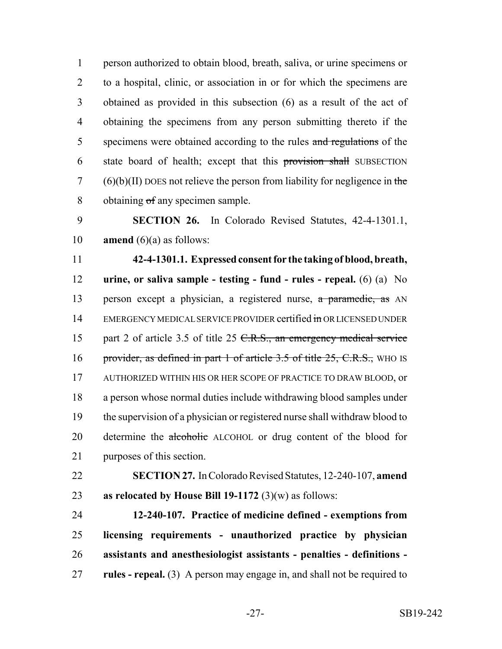person authorized to obtain blood, breath, saliva, or urine specimens or to a hospital, clinic, or association in or for which the specimens are obtained as provided in this subsection (6) as a result of the act of obtaining the specimens from any person submitting thereto if the 5 specimens were obtained according to the rules and regulations of the state board of health; except that this provision shall SUBSECTION (6)(b)(II) DOES not relieve the person from liability for negligence in the obtaining of any specimen sample.

 **SECTION 26.** In Colorado Revised Statutes, 42-4-1301.1, **amend** (6)(a) as follows:

 **42-4-1301.1. Expressed consent for the taking of blood, breath, urine, or saliva sample - testing - fund - rules - repeal.** (6) (a) No 13 person except a physician, a registered nurse, a paramedic, as AN 14 EMERGENCY MEDICAL SERVICE PROVIDER certified in ORLICENSED UNDER 15 part 2 of article 3.5 of title 25 C.R.S., an emergency medical service 16 provider, as defined in part 1 of article 3.5 of title 25, C.R.S., WHO IS AUTHORIZED WITHIN HIS OR HER SCOPE OF PRACTICE TO DRAW BLOOD, or a person whose normal duties include withdrawing blood samples under the supervision of a physician or registered nurse shall withdraw blood to 20 determine the alcoholic ALCOHOL or drug content of the blood for purposes of this section.

 **SECTION 27.** In Colorado Revised Statutes, 12-240-107, **amend as relocated by House Bill 19-1172** (3)(w) as follows:

 **12-240-107. Practice of medicine defined - exemptions from licensing requirements - unauthorized practice by physician assistants and anesthesiologist assistants - penalties - definitions - rules - repeal.** (3) A person may engage in, and shall not be required to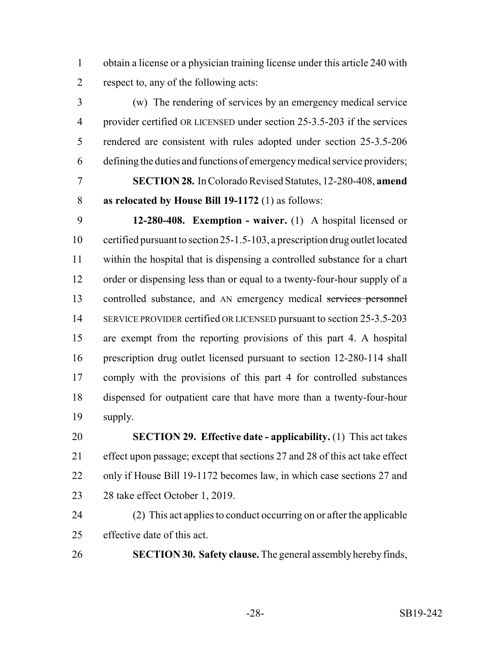obtain a license or a physician training license under this article 240 with respect to, any of the following acts:

 (w) The rendering of services by an emergency medical service provider certified OR LICENSED under section 25-3.5-203 if the services rendered are consistent with rules adopted under section 25-3.5-206 defining the duties and functions of emergency medical service providers;

 **SECTION 28.** In Colorado Revised Statutes, 12-280-408, **amend as relocated by House Bill 19-1172** (1) as follows:

 **12-280-408. Exemption - waiver.** (1) A hospital licensed or certified pursuant to section 25-1.5-103, a prescription drug outlet located within the hospital that is dispensing a controlled substance for a chart order or dispensing less than or equal to a twenty-four-hour supply of a 13 controlled substance, and AN emergency medical services personnel 14 SERVICE PROVIDER certified OR LICENSED pursuant to section 25-3.5-203 are exempt from the reporting provisions of this part 4. A hospital prescription drug outlet licensed pursuant to section 12-280-114 shall comply with the provisions of this part 4 for controlled substances dispensed for outpatient care that have more than a twenty-four-hour supply.

 **SECTION 29. Effective date - applicability.** (1) This act takes effect upon passage; except that sections 27 and 28 of this act take effect only if House Bill 19-1172 becomes law, in which case sections 27 and 28 take effect October 1, 2019.

 (2) This act applies to conduct occurring on or after the applicable effective date of this act.

**SECTION 30. Safety clause.** The general assembly hereby finds,